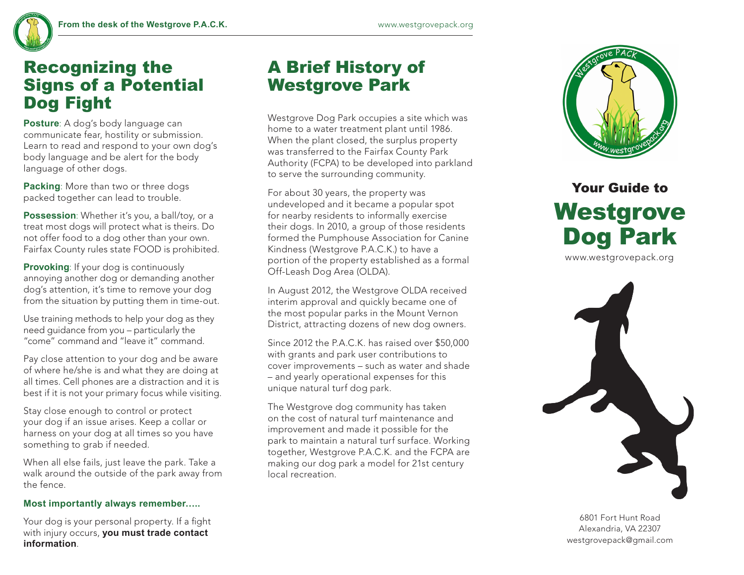

### Recognizing the Signs of a Potential Dog Fight

**Posture**: A dog's body language can communicate fear, hostility or submission. Learn to read and respond to your own dog's body language and be alert for the body language of other dogs.

**Packing**: More than two or three dogs packed together can lead to trouble.

**Possession**: Whether it's you, a ball/toy, or a treat most dogs will protect what is theirs. Do not offer food to a dog other than your own. Fairfax County rules state FOOD is prohibited.

**Provoking:** If your dog is continuously annoying another dog or demanding another dog's attention, it's time to remove your dog from the situation by putting them in time-out.

Use training methods to help your dog as they need guidance from you – particularly the "come" command and "leave it" command.

Pay close attention to your dog and be aware of where he/she is and what they are doing at all times. Cell phones are a distraction and it is best if it is not your primary focus while visiting.

Stay close enough to control or protect your dog if an issue arises. Keep a collar or harness on your dog at all times so you have something to grab if needed.

When all else fails, just leave the park. Take a walk around the outside of the park away from the fence.

#### **Most importantly always remember…..**

Your dog is your personal property. If a fight with injury occurs, **you must trade contact information**.

### A Brief History of Westgrove Park

Westgrove Dog Park occupies a site which was home to a water treatment plant until 1986. When the plant closed, the surplus property was transferred to the Fairfax County Park Authority (FCPA) to be developed into parkland to serve the surrounding community.

For about 30 years, the property was undeveloped and it became a popular spot for nearby residents to informally exercise their dogs. In 2010, a group of those residents formed the Pumphouse Association for Canine Kindness (Westgrove P.A.C.K.) to have a portion of the property established as a formal Off-Leash Dog Area (OLDA).

In August 2012, the Westgrove OLDA received interim approval and quickly became one of the most popular parks in the Mount Vernon District, attracting dozens of new dog owners.

Since 2012 the P.A.C.K. has raised over \$50,000 with grants and park user contributions to cover improvements – such as water and shade – and yearly operational expenses for this unique natural turf dog park.

The Westgrove dog community has taken on the cost of natural turf maintenance and improvement and made it possible for the park to maintain a natural turf surface. Working together, Westgrove P.A.C.K. and the FCPA are making our dog park a model for 21st century local recreation.



# Your Guide to Westgrove Dog Park

www.westgrovepack.org



6801 Fort Hunt Road Alexandria, VA 22307 westgrovepack@gmail.com